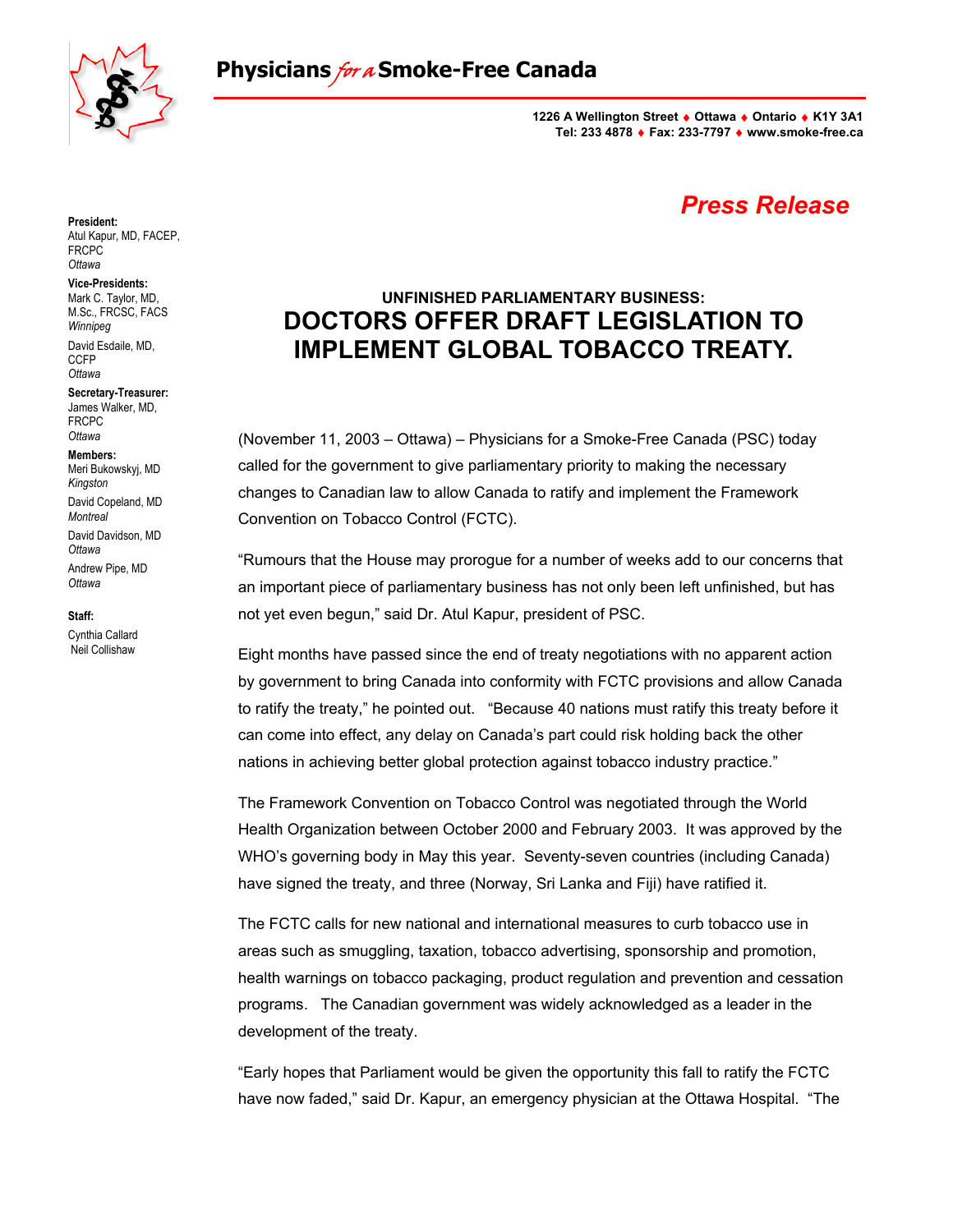

**1226 A Wellington Street** ♦ **Ottawa** ♦ **Ontario** ♦ **K1Y 3A1 Tel: 233 4878** ♦ **Fax: 233-7797** ♦ **www.smoke-free.ca**

## *Press Release*

## **UNFINISHED PARLIAMENTARY BUSINESS: DOCTORS OFFER DRAFT LEGISLATION TO IMPLEMENT GLOBAL TOBACCO TREATY.**

(November 11, 2003 – Ottawa) – Physicians for a Smoke-Free Canada (PSC) today called for the government to give parliamentary priority to making the necessary changes to Canadian law to allow Canada to ratify and implement the Framework Convention on Tobacco Control (FCTC).

"Rumours that the House may prorogue for a number of weeks add to our concerns that an important piece of parliamentary business has not only been left unfinished, but has not yet even begun," said Dr. Atul Kapur, president of PSC.

Eight months have passed since the end of treaty negotiations with no apparent action by government to bring Canada into conformity with FCTC provisions and allow Canada to ratify the treaty," he pointed out. "Because 40 nations must ratify this treaty before it can come into effect, any delay on Canada's part could risk holding back the other nations in achieving better global protection against tobacco industry practice."

The Framework Convention on Tobacco Control was negotiated through the World Health Organization between October 2000 and February 2003. It was approved by the WHO's governing body in May this year. Seventy-seven countries (including Canada) have signed the treaty, and three (Norway, Sri Lanka and Fiji) have ratified it.

The FCTC calls for new national and international measures to curb tobacco use in areas such as smuggling, taxation, tobacco advertising, sponsorship and promotion, health warnings on tobacco packaging, product regulation and prevention and cessation programs. The Canadian government was widely acknowledged as a leader in the development of the treaty.

"Early hopes that Parliament would be given the opportunity this fall to ratify the FCTC have now faded," said Dr. Kapur, an emergency physician at the Ottawa Hospital. "The

**President:**  Atul Kapur, MD, FACEP, FRCPC *Ottawa*

### **Vice-Presidents:**

Mark C. Taylor, MD, M.Sc., FRCSC, FACS *Winnipeg* David Esdaile, MD, CCFP *Ottawa*

**Secretary-Treasurer:**  James Walker, MD, FRCPC *Ottawa*

#### **Members:**

Meri Bukowskyj, MD *Kingston*  David Copeland, MD *Montreal*  David Davidson, MD *Ottawa*  Andrew Pipe, MD *Ottawa*

**Staff:**

Cynthia Callard Neil Collishaw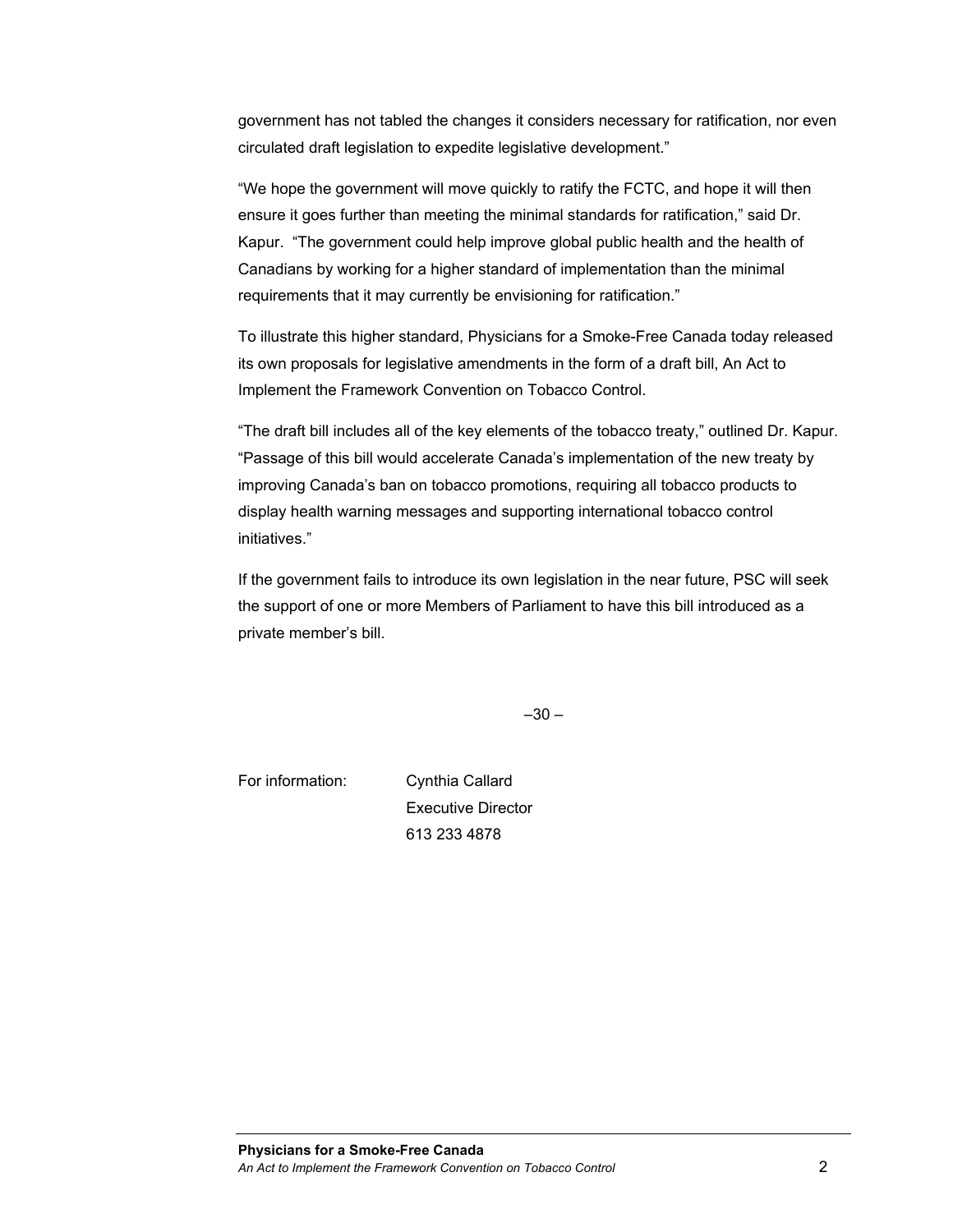government has not tabled the changes it considers necessary for ratification, nor even circulated draft legislation to expedite legislative development."

"We hope the government will move quickly to ratify the FCTC, and hope it will then ensure it goes further than meeting the minimal standards for ratification," said Dr. Kapur. "The government could help improve global public health and the health of Canadians by working for a higher standard of implementation than the minimal requirements that it may currently be envisioning for ratification."

To illustrate this higher standard, Physicians for a Smoke-Free Canada today released its own proposals for legislative amendments in the form of a draft bill, An Act to Implement the Framework Convention on Tobacco Control.

"The draft bill includes all of the key elements of the tobacco treaty," outlined Dr. Kapur. "Passage of this bill would accelerate Canada's implementation of the new treaty by improving Canada's ban on tobacco promotions, requiring all tobacco products to display health warning messages and supporting international tobacco control initiatives."

If the government fails to introduce its own legislation in the near future, PSC will seek the support of one or more Members of Parliament to have this bill introduced as a private member's bill.

 $-30 -$ 

For information: Cynthia Callard Executive Director 613 233 4878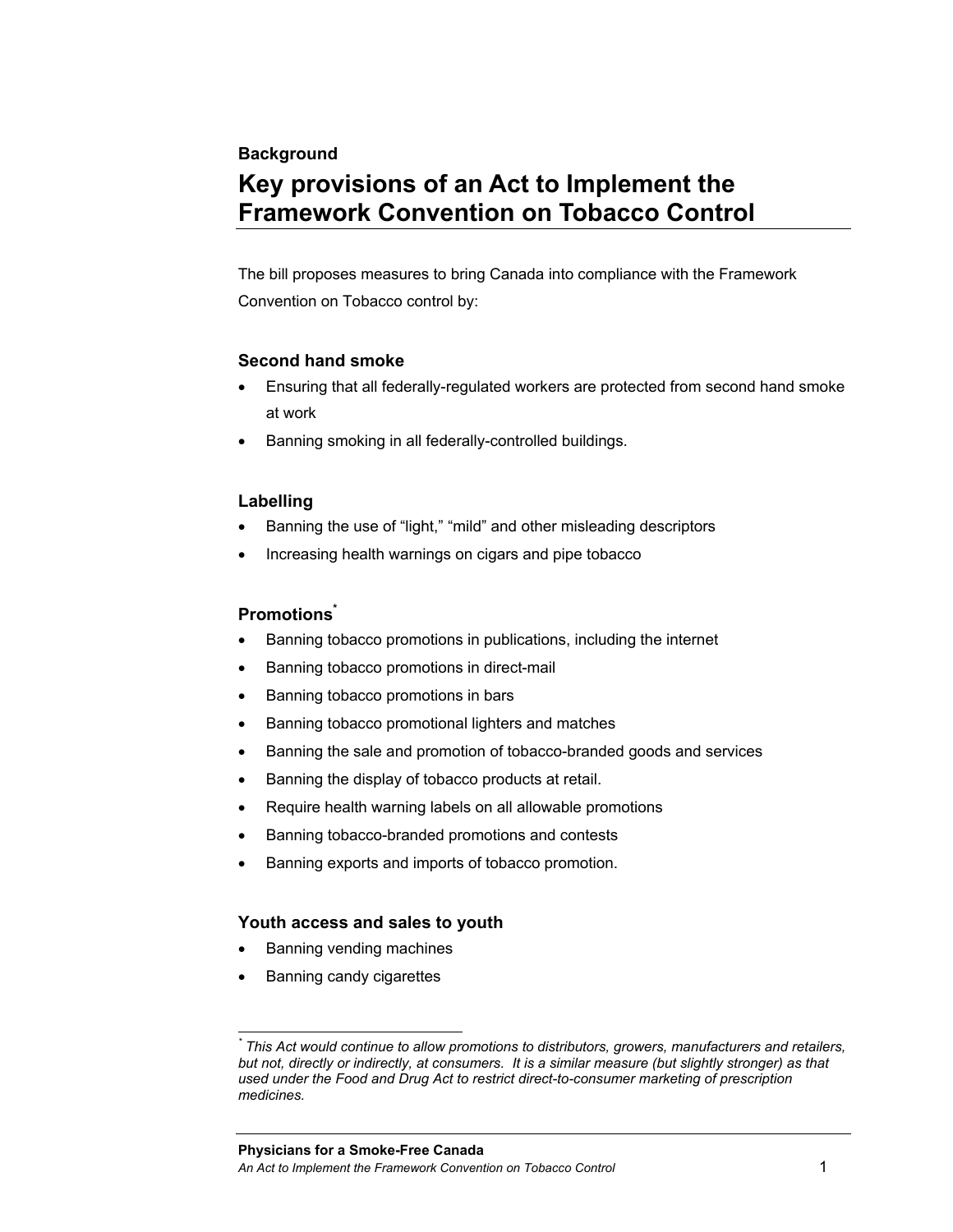#### **Background**

# **Key provisions of an Act to Implement the Framework Convention on Tobacco Control**

The bill proposes measures to bring Canada into compliance with the Framework Convention on Tobacco control by:

#### **Second hand smoke**

- Ensuring that all federally-regulated workers are protected from second hand smoke at work
- Banning smoking in all federally-controlled buildings.

### **Labelling**

- Banning the use of "light," "mild" and other misleading descriptors
- Increasing health warnings on cigars and pipe tobacco

### **Promotions\***

- Banning tobacco promotions in publications, including the internet
- Banning tobacco promotions in direct-mail
- Banning tobacco promotions in bars
- Banning tobacco promotional lighters and matches
- Banning the sale and promotion of tobacco-branded goods and services
- Banning the display of tobacco products at retail.
- Require health warning labels on all allowable promotions
- Banning tobacco-branded promotions and contests
- Banning exports and imports of tobacco promotion.

### **Youth access and sales to youth**

- Banning vending machines
- Banning candy cigarettes

 $\overline{a}$ 

*<sup>\*</sup> This Act would continue to allow promotions to distributors, growers, manufacturers and retailers, but not, directly or indirectly, at consumers. It is a similar measure (but slightly stronger) as that used under the Food and Drug Act to restrict direct-to-consumer marketing of prescription medicines.*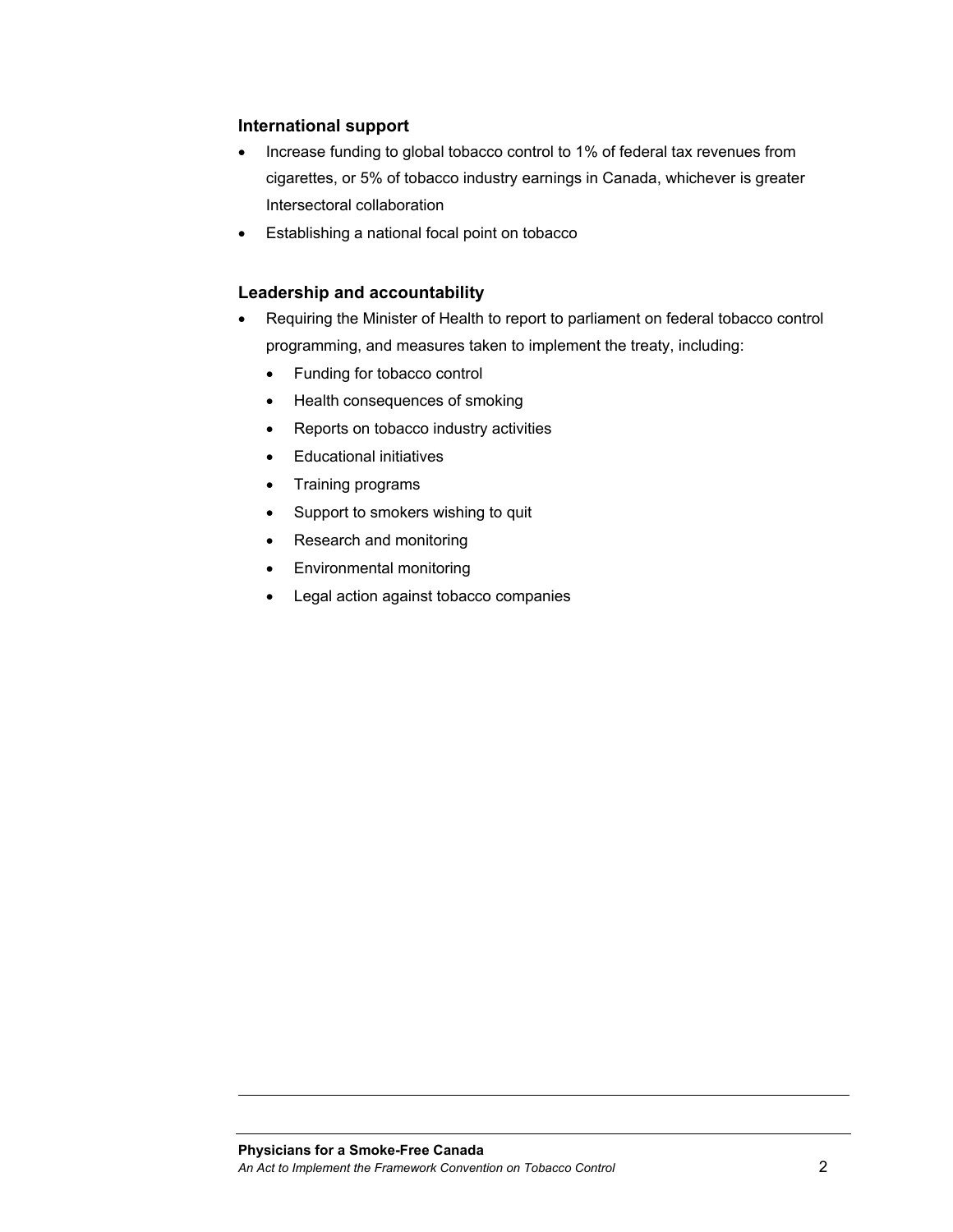### **International support**

- Increase funding to global tobacco control to 1% of federal tax revenues from cigarettes, or 5% of tobacco industry earnings in Canada, whichever is greater Intersectoral collaboration
- Establishing a national focal point on tobacco

### **Leadership and accountability**

- Requiring the Minister of Health to report to parliament on federal tobacco control programming, and measures taken to implement the treaty, including:
	- Funding for tobacco control
	- Health consequences of smoking
	- Reports on tobacco industry activities
	- Educational initiatives
	- Training programs
	- Support to smokers wishing to quit
	- Research and monitoring
	- Environmental monitoring
	- Legal action against tobacco companies

l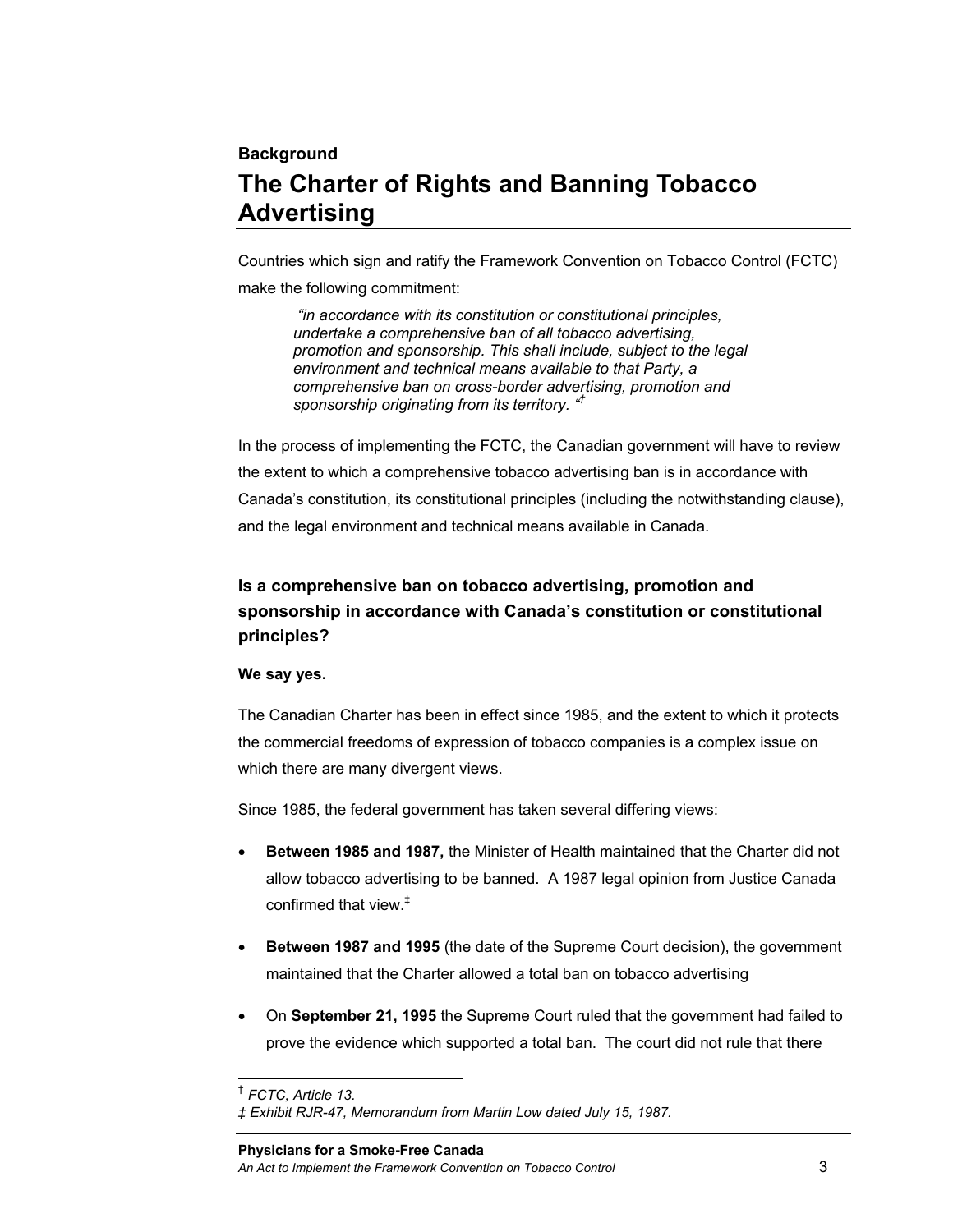## **Background The Charter of Rights and Banning Tobacco Advertising**

Countries which sign and ratify the Framework Convention on Tobacco Control (FCTC) make the following commitment:

 *"in accordance with its constitution or constitutional principles, undertake a comprehensive ban of all tobacco advertising, promotion and sponsorship. This shall include, subject to the legal environment and technical means available to that Party, a comprehensive ban on cross-border advertising, promotion and sponsorship originating from its territory. "†*

In the process of implementing the FCTC, the Canadian government will have to review the extent to which a comprehensive tobacco advertising ban is in accordance with Canada's constitution, its constitutional principles (including the notwithstanding clause), and the legal environment and technical means available in Canada.

## **Is a comprehensive ban on tobacco advertising, promotion and sponsorship in accordance with Canada's constitution or constitutional principles?**

#### **We say yes.**

The Canadian Charter has been in effect since 1985, and the extent to which it protects the commercial freedoms of expression of tobacco companies is a complex issue on which there are many divergent views.

Since 1985, the federal government has taken several differing views:

- **Between 1985 and 1987,** the Minister of Health maintained that the Charter did not allow tobacco advertising to be banned. A 1987 legal opinion from Justice Canada confirmed that view.‡
- **Between 1987 and 1995** (the date of the Supreme Court decision), the government maintained that the Charter allowed a total ban on tobacco advertising
- On **September 21, 1995** the Supreme Court ruled that the government had failed to prove the evidence which supported a total ban. The court did not rule that there

l † *FCTC, Article 13.* 

*<sup>‡</sup> Exhibit RJR-47, Memorandum from Martin Low dated July 15, 1987.*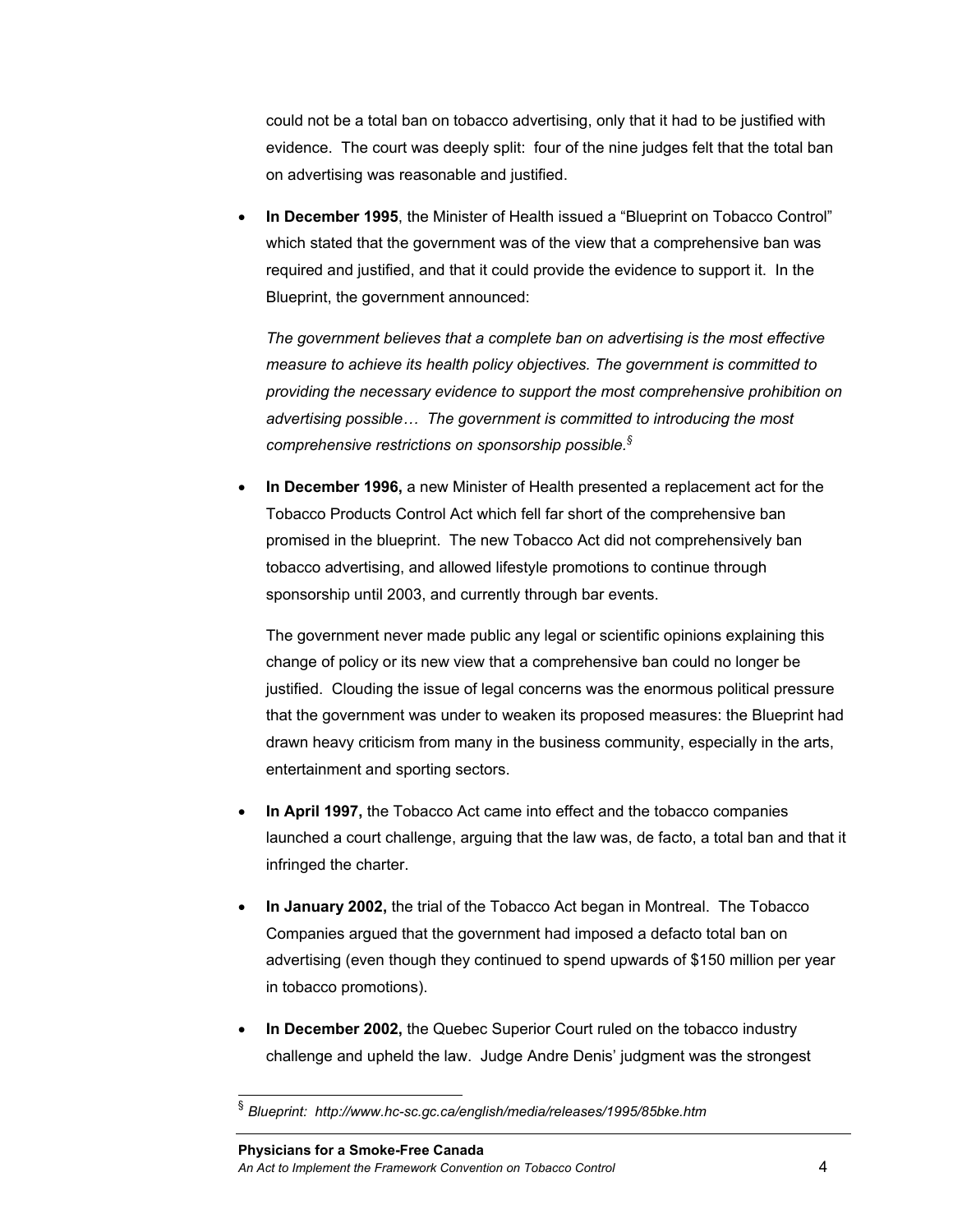could not be a total ban on tobacco advertising, only that it had to be justified with evidence. The court was deeply split: four of the nine judges felt that the total ban on advertising was reasonable and justified.

• **In December 1995**, the Minister of Health issued a "Blueprint on Tobacco Control" which stated that the government was of the view that a comprehensive ban was required and justified, and that it could provide the evidence to support it. In the Blueprint, the government announced:

*The government believes that a complete ban on advertising is the most effective measure to achieve its health policy objectives. The government is committed to providing the necessary evidence to support the most comprehensive prohibition on advertising possible… The government is committed to introducing the most comprehensive restrictions on sponsorship possible.§*

• **In December 1996,** a new Minister of Health presented a replacement act for the Tobacco Products Control Act which fell far short of the comprehensive ban promised in the blueprint. The new Tobacco Act did not comprehensively ban tobacco advertising, and allowed lifestyle promotions to continue through sponsorship until 2003, and currently through bar events.

The government never made public any legal or scientific opinions explaining this change of policy or its new view that a comprehensive ban could no longer be justified. Clouding the issue of legal concerns was the enormous political pressure that the government was under to weaken its proposed measures: the Blueprint had drawn heavy criticism from many in the business community, especially in the arts, entertainment and sporting sectors.

- **In April 1997,** the Tobacco Act came into effect and the tobacco companies launched a court challenge, arguing that the law was, de facto, a total ban and that it infringed the charter.
- **In January 2002,** the trial of the Tobacco Act began in Montreal. The Tobacco Companies argued that the government had imposed a defacto total ban on advertising (even though they continued to spend upwards of \$150 million per year in tobacco promotions).
- **In December 2002,** the Quebec Superior Court ruled on the tobacco industry challenge and upheld the law. Judge Andre Denis' judgment was the strongest

l

<sup>§</sup> *Blueprint: http://www.hc-sc.gc.ca/english/media/releases/1995/85bke.htm*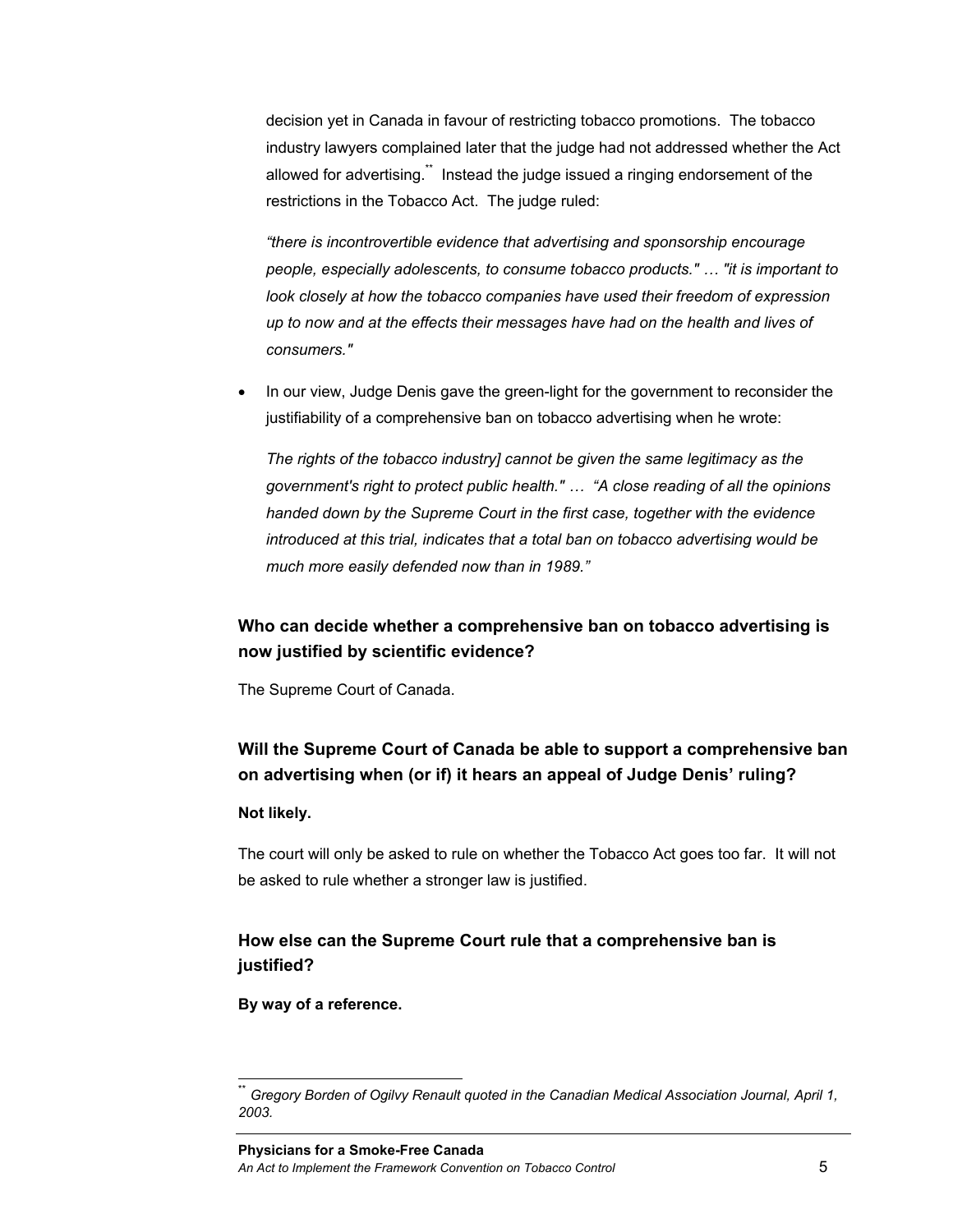decision yet in Canada in favour of restricting tobacco promotions. The tobacco industry lawyers complained later that the judge had not addressed whether the Act allowed for advertising.<sup>\*\*</sup> Instead the judge issued a ringing endorsement of the restrictions in the Tobacco Act. The judge ruled:

*"there is incontrovertible evidence that advertising and sponsorship encourage people, especially adolescents, to consume tobacco products." … "it is important to look closely at how the tobacco companies have used their freedom of expression up to now and at the effects their messages have had on the health and lives of consumers."* 

• In our view, Judge Denis gave the green-light for the government to reconsider the justifiability of a comprehensive ban on tobacco advertising when he wrote:

*The rights of the tobacco industry] cannot be given the same legitimacy as the government's right to protect public health." … "A close reading of all the opinions handed down by the Supreme Court in the first case, together with the evidence introduced at this trial, indicates that a total ban on tobacco advertising would be much more easily defended now than in 1989."* 

### **Who can decide whether a comprehensive ban on tobacco advertising is now justified by scientific evidence?**

The Supreme Court of Canada.

## **Will the Supreme Court of Canada be able to support a comprehensive ban on advertising when (or if) it hears an appeal of Judge Denis' ruling?**

#### **Not likely.**

l

The court will only be asked to rule on whether the Tobacco Act goes too far. It will not be asked to rule whether a stronger law is justified.

## **How else can the Supreme Court rule that a comprehensive ban is justified?**

**By way of a reference.** 

<sup>\*\*</sup> *Gregory Borden of Ogilvy Renault quoted in the Canadian Medical Association Journal, April 1, 2003.*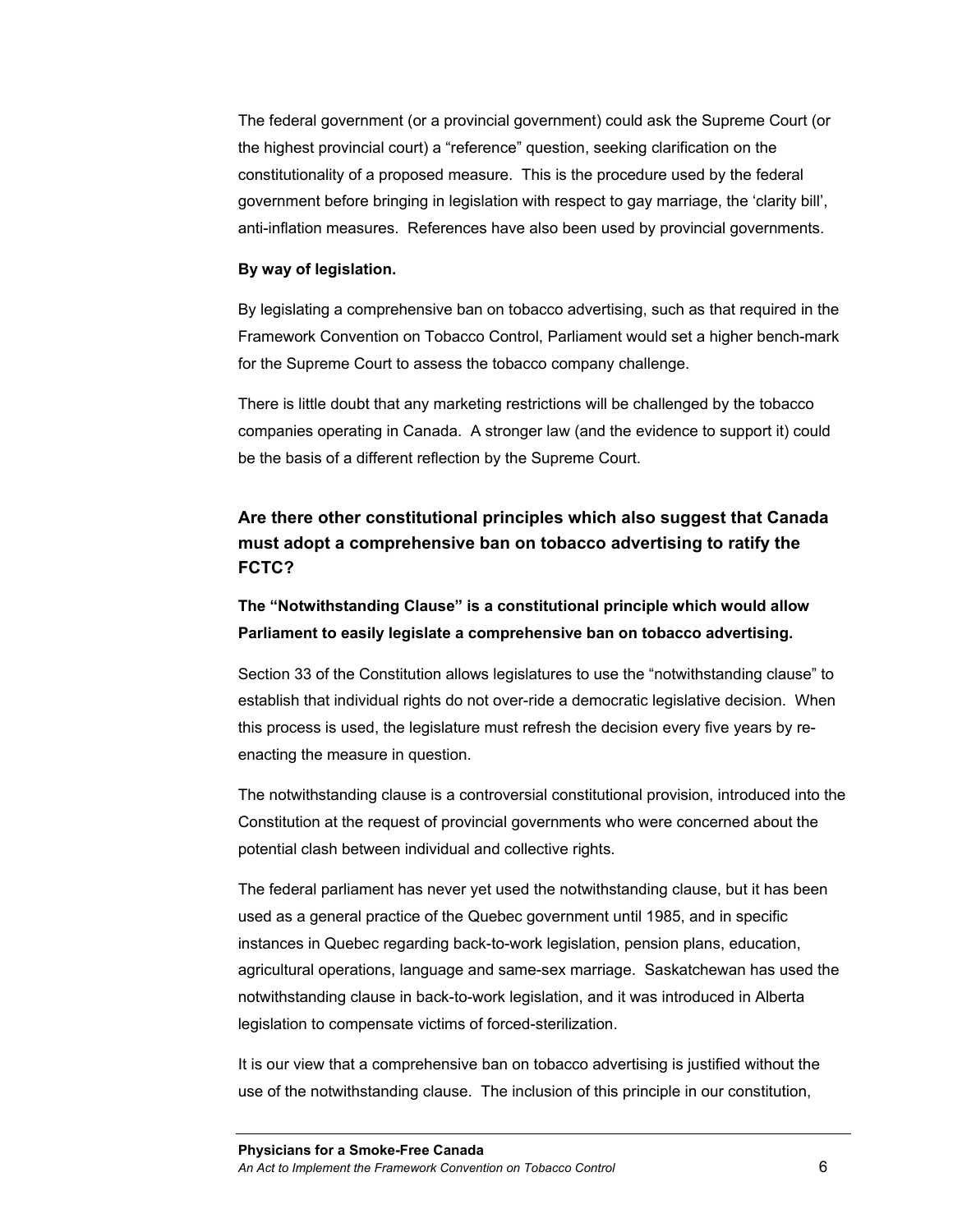The federal government (or a provincial government) could ask the Supreme Court (or the highest provincial court) a "reference" question, seeking clarification on the constitutionality of a proposed measure. This is the procedure used by the federal government before bringing in legislation with respect to gay marriage, the 'clarity bill', anti-inflation measures. References have also been used by provincial governments.

#### **By way of legislation.**

By legislating a comprehensive ban on tobacco advertising, such as that required in the Framework Convention on Tobacco Control, Parliament would set a higher bench-mark for the Supreme Court to assess the tobacco company challenge.

There is little doubt that any marketing restrictions will be challenged by the tobacco companies operating in Canada. A stronger law (and the evidence to support it) could be the basis of a different reflection by the Supreme Court.

## **Are there other constitutional principles which also suggest that Canada must adopt a comprehensive ban on tobacco advertising to ratify the FCTC?**

**The "Notwithstanding Clause" is a constitutional principle which would allow Parliament to easily legislate a comprehensive ban on tobacco advertising.** 

Section 33 of the Constitution allows legislatures to use the "notwithstanding clause" to establish that individual rights do not over-ride a democratic legislative decision. When this process is used, the legislature must refresh the decision every five years by reenacting the measure in question.

The notwithstanding clause is a controversial constitutional provision, introduced into the Constitution at the request of provincial governments who were concerned about the potential clash between individual and collective rights.

The federal parliament has never yet used the notwithstanding clause, but it has been used as a general practice of the Quebec government until 1985, and in specific instances in Quebec regarding back-to-work legislation, pension plans, education, agricultural operations, language and same-sex marriage. Saskatchewan has used the notwithstanding clause in back-to-work legislation, and it was introduced in Alberta legislation to compensate victims of forced-sterilization.

It is our view that a comprehensive ban on tobacco advertising is justified without the use of the notwithstanding clause. The inclusion of this principle in our constitution,